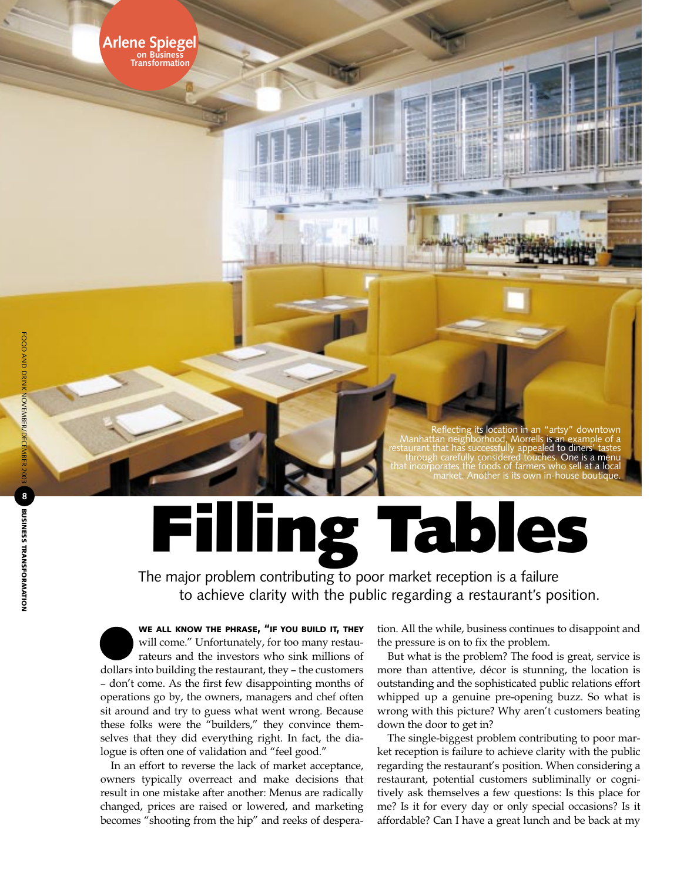**Arlene Spiegel on Business Transformation**

## cting its location in an Manhattan neighborhood, Morrells is an example of a restaurant that has successfully appealed to diners' tastes through carefully considered touches. One is a menu that incorporates the foods of farmers who sell at a local market. Another is its own in-house boutique.

## **Filling Tables**

The major problem contributing to poor market reception is a failure to achieve clarity with the public regarding a restaurant's position.

**WE ALL KNOW THE PHRASE, "IF YOU BUILD IT, THEY** will come." Unfortunately, for too many restaurateurs and the investors who sink millions of dollars into building the restaurant, they – the customers – don't come. As the first few disappointing months of operations go by, the owners, managers and chef often sit around and try to guess what went wrong. Because these folks were the "builders," they convince themselves that they did everything right. In fact, the dialogue is often one of validation and "feel good."

In an effort to reverse the lack of market acceptance, owners typically overreact and make decisions that result in one mistake after another: Menus are radically changed, prices are raised or lowered, and marketing becomes "shooting from the hip" and reeks of desperation. All the while, business continues to disappoint and the pressure is on to fix the problem.

But what is the problem? The food is great, service is more than attentive, décor is stunning, the location is outstanding and the sophisticated public relations effort whipped up a genuine pre-opening buzz. So what is wrong with this picture? Why aren't customers beating down the door to get in?

The single-biggest problem contributing to poor market reception is failure to achieve clarity with the public regarding the restaurant's position. When considering a restaurant, potential customers subliminally or cognitively ask themselves a few questions: Is this place for me? Is it for every day or only special occasions? Is it affordable? Can I have a great lunch and be back at my